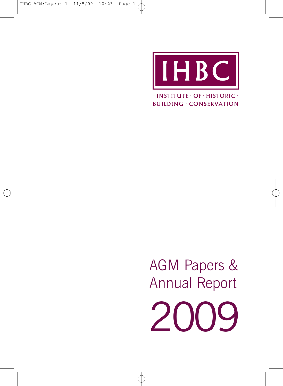

 $\cdot$ INSTITUTE $\cdot$ OF $\cdot$ HISTORIC $\cdot$ **BUILDING · CONSERVATION** 

AGM Papers & Annual Report 2009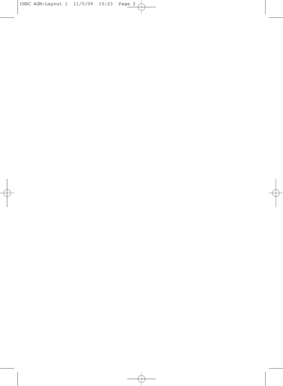IHBC AGM:Layout 1  $11/5/09$  10:23 Page 2

€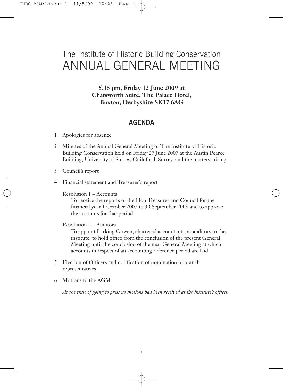# The Institute of Historic Building Conservation ANNUAL GENERAL MEETING

**5.15 pm, Friday 12 June 2009 at Chatsworth Suite, The Palace Hotel, Buxton, Derbyshire SK17 6AG**

## **AGENDA**

- 1 Apologies for absence
- 2 Minutes of the Annual General Meeting of The Institute of Historic Building Conservation held on Friday 27 June 2007 at the Austin Pearce Building, University of Surrey, Guildford, Surrey, and the matters arising
- 3 Council's report
- 4 Financial statement and Treasurer's report
	- Resolution 1 Accounts

To receive the reports of the Hon Treasurer and Council for the financial year 1 October 2007 to 30 September 2008 and to approve the accounts for that period

Resolution 2 – Auditors

To appoint Larking Gowen, chartered accountants, as auditors to the institute, to hold office from the conclusion of the present General Meeting until the conclusion of the next General Meeting at which accounts in respect of an accounting reference period are laid

- 5 Election of Officers and notification of nomination of branch representatives
- 6 Motions to the AGM

*At the time of going to press no motions had been received at the institute's offices.*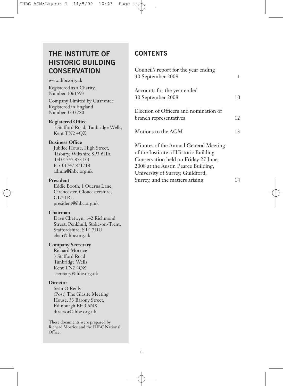## **THE INSTITUTE OF HISTORIC BUILDING CONSERVATION**

www.ihbc.org.uk

Registered as a Charity, Number 1061593

Company Limited by Guarantee Registered in England Number 3333780

#### **Registered Office**

3 Stafford Road, Tunbridge Wells, Kent TN2 4QZ

#### **Business Office**

Jubilee House, High Street, Tisbury, Wiltshire SP3 6HA Tel 01747 873133 Fax 01747 871718 admin@ihbc.org.uk

#### **President**

Eddie Booth, 1 Querns Lane, Cirencester, Gloucestershire, GL7 1RL president@ihbc.org.uk

#### **Chairman**

Dave Chetwyn, 142 Richmond Street, Penkhull, Stoke-on-Trent, Staffordshire, ST4 7DU chair@ihbc.org.uk

#### **Company Secretary**

Richard Morrice 3 Stafford Road Tunbridge Wells Kent TN2 4QZ secretary@ihbc.org.uk

#### **Director**

Seán O'Reilly (Post) The Glasite Meeting House, 33 Barony Street, Edinburgh EH3 6NX director@ihbc.org.uk

These documents were prepared by Richard Morrice and the IHBC National Office.

## **CONTENTS**

| Council's report for the year ending<br>30 September 2008                                                                                                                                        | 1              |
|--------------------------------------------------------------------------------------------------------------------------------------------------------------------------------------------------|----------------|
| Accounts for the year ended<br>30 September 2008                                                                                                                                                 | 1 <sub>0</sub> |
| Election of Officers and nomination of<br>branch representatives                                                                                                                                 | 12             |
| Motions to the AGM                                                                                                                                                                               | 13             |
| Minutes of the Annual General Meeting<br>of the Institute of Historic Building<br>Conservation held on Friday 27 June<br>2008 at the Austin Pearce Building,<br>University of Surrey, Guildford, |                |

Surrey, and the matters arising 14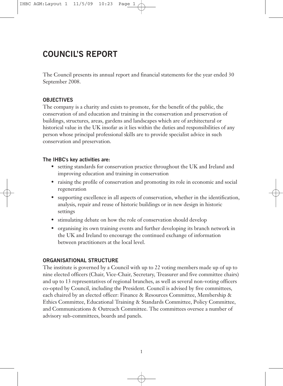## **COUNCIL'S REPORT**

The Council presents its annual report and financial statements for the year ended 30 September 2008.

## **OBJECTIVES**

The company is a charity and exists to promote, for the benefit of the public, the conservation of and education and training in the conservation and preservation of buildings, structures, areas, gardens and landscapes which are of architectural or historical value in the UK insofar as it lies within the duties and responsibilities of any person whose principal professional skills are to provide specialist advice in such conservation and preservation.

## **The IHBC's key activities are:**

- setting standards for conservation practice throughout the UK and Ireland and improving education and training in conservation
- raising the profile of conservation and promoting its role in economic and social regeneration
- supporting excellence in all aspects of conservation, whether in the identification, analysis, repair and reuse of historic buildings or in new design in historic settings
- stimulating debate on how the role of conservation should develop
- organising its own training events and further developing its branch network in the UK and Ireland to encourage the continued exchange of information between practitioners at the local level.

## **ORGANISATIONAL STRUCTURE**

The institute is governed by a Council with up to 22 voting members made up of up to nine elected officers (Chair, Vice-Chair, Secretary, Treasurer and five committee chairs) and up to 13 representatives of regional branches, as well as several non-voting officers co-opted by Council, including the President. Council is advised by five committees, each chaired by an elected officer: Finance & Resources Committee, Membership & Ethics Committee, Educational Training & Standards Committee, Policy Committee, and Communications & Outreach Committee. The committees oversee a number of advisory sub-committees, boards and panels.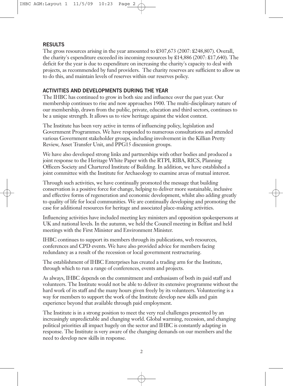#### **RESULTS**

The gross resources arising in the year amounted to £307,673 (2007: £248,807). Overall, the charity's expenditure exceeded its incoming resources by  $\pounds 14,886$  (2007:  $\pounds 17,640$ ). The deficit for the year is due to expenditure on increasing the charity's capacity to deal with projects, as recommended by fund providers. The charity reserves are sufficient to allow us to do this, and maintain levels of reserves within our reserves policy.

#### **ACTIVITIES AND DEVELOPMENTS DURING THE YEAR**

The IHBC has continued to grow in both size and influence over the past year. Our membership continues to rise and now approaches 1900. The multi-disciplinary nature of our membership, drawn from the public, private, education and third sectors, continues to be a unique strength. It allows us to view heritage against the widest context.

The Institute has been very active in terms of influencing policy, legislation and Government Programmes. We have responded to numerous consultations and attended various Government stakeholder groups, including involvement in the Killian Pretty Review, Asset Transfer Unit, and PPG15 discussion groups.

We have also developed strong links and partnerships with other bodies and produced a joint response to the Heritage White Paper with the RTPI, RIBA, RICS, Planning Officers Society and Chartered Institute of Building. In addition, we have established a joint committee with the Institute for Archaeology to examine areas of mutual interest.

Through such activities, we have continually promoted the message that building conservation is a positive force for change, helping to deliver more sustainable, inclusive and effective forms of regeneration and economic development, whilst also adding greatly to quality of life for local communities. We are continually developing and promoting the case for additional resources for heritage and associated place-making activities.

Influencing activities have included meeting key ministers and opposition spokespersons at UK and national levels. In the autumn, we held the Council meeting in Belfast and held meetings with the First Minister and Environment Minister.

IHBC continues to support its members through its publications, web resources, conferences and CPD events. We have also provided advice for members facing redundancy as a result of the recession or local government restructuring.

The establishment of IHBC Enterprises has created a trading arm for the Institute, through which to run a range of conferences, events and projects.

As always, IHBC depends on the commitment and enthusiasm of both its paid staff and volunteers. The Institute would not be able to deliver its extensive programme without the hard work of its staff and the many hours given freely by its volunteers. Volunteering is a way for members to support the work of the Institute develop new skills and gain experience beyond that available through paid employment.

The Institute is in a strong position to meet the very real challenges presented by an increasingly unpredictable and changing world. Global warming, recession, and changing political priorities all impact hugely on the sector and IHBC is constantly adapting in response. The Institute is very aware of the changing demands on our members and the need to develop new skills in response.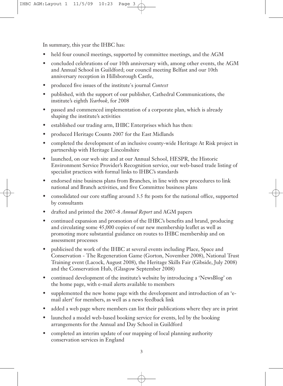In summary, this year the IHBC has:

- held four council meetings, supported by committee meetings, and the AGM
- concluded celebrations of our 10th anniversary with, among other events, the AGM and Annual School in Guildford; our council meeting Belfast and our 10th anniversary reception in Hillsborough Castle,
- produced five issues of the institute's journal *Context*
- published, with the support of our publisher, Cathedral Communications, the institute's eighth *Yearbook*, for 2008
- passed and commenced implementation of a corporate plan, which is already shaping the institute's activities
- established our trading arm, IHBC Enterprises which has then:
- produced Heritage Counts 2007 for the East Midlands
- completed the development of an inclusive county-wide Heritage At Risk project in partnership with Heritage Lincolnshire
- launched, on our web site and at our Annual School, HESPR, the Historic Environment Service Provider's Recognition service, our web-based trade listing of specialist practices with formal links to IHBC's standards
- endorsed nine business plans from Branches, in line with new procedures to link national and Branch activities, and five Committee business plans
- consolidated our core staffing around 3.5 fte posts for the national office, supported by consultants
- drafted and printed the 2007-8 *Annual Report* and AGM papers
- continued expansion and promotion of the IHBC's benefits and brand, producing and circulating some 45,000 copies of our new membership leaflet as well as promoting more substantial guidance on routes to IHBC membership and on assessment processes
- publicised the work of the IHBC at several events including Place, Space and Conservation - The Regeneration Game (Gorton, November 2008), National Trust Training event (Lacock, August 2008), the Heritage Skills Fair (Gibside, July 2008) and the Conservation Hub, (Glasgow September 2008)
- continued development of the institute's website by introducing a 'NewsBlog' on the home page, with e-mail alerts available to members
- supplemented the new home page with the development and introduction of an 'email alert' for members, as well as a news feedback link
- added a web page where members can list their publications where they are in print
- launched a model web-based booking service for events, led by the booking arrangements for the Annual and Day School in Guildford
- completed an interim update of our mapping of local planning authority conservation services in England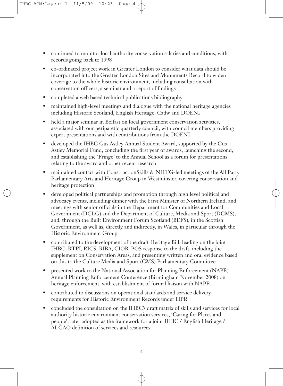- continued to monitor local authority conservation salaries and conditions, with records going back to 1998
- co-ordinated project work in Greater London to consider what data should be incorporated into the Greater London Sites and Monuments Record to widen coverage to the whole historic environment, including consultation with conservation officers, a seminar and a report of findings
- completed a web based technical publications bibliography
- maintained high-level meetings and dialogue with the national heritage agencies including Historic Scotland, English Heritage, Cadw and DOENI
- held a major seminar in Belfast on local government conservation activities, associated with our peripatetic quarterly council, with council members providing expert presentations and with contributions from the DOENI
- developed the IHBC Gus Astley Annual Student Award, supported by the Gus Astley Memorial Fund, concluding the first year of awards, launching the second, and establishing the 'Fringe' to the Annual School as a forum for presentations relating to the award and other recent research
- maintained contact with ConstructionSkills & NHTG-led meetings of the All Party Parliamentary Arts and Heritage Group in Westminster, covering conservation and heritage protection
- developed political partnerships and promotion through high level political and advocacy events, including dinner with the First Minister of Northern Ireland, and meetings with senior officials in the Department for Communities and Local Government (DCLG) and the Department of Culture, Media and Sport (DCMS), and, through the Built Environment Forum Scotland (BEFS), in the Scottish Government, as well as, directly and indirectly, in Wales, in particular through the Historic Environment Group
- contributed to the development of the draft Heritage Bill, leading on the joint IHBC, RTPI, RICS, RIBA, CIOB, POS response to the draft, including the supplement on Conservation Areas, and presenting written and oral evidence based on this to the Culture Media and Sport (CMS) Parliamentary Committee
- presented work to the National Association for Planning Enforcement (NAPE) Annual Planning Enforcement Conference (Birmingham November 2008) on heritage enforcement, with establishment of formal liaison with NAPE
- contributed to discussions on operational standards and service delivery requirements for Historic Environment Records under HPR
- concluded the consultation on the IHBC's draft matrix of skills and services for local authority historic environment conservation services, 'Caring for Places and people', later adopted as the framework for a joint IHBC / English Heritage / ALGAO definition of services and resources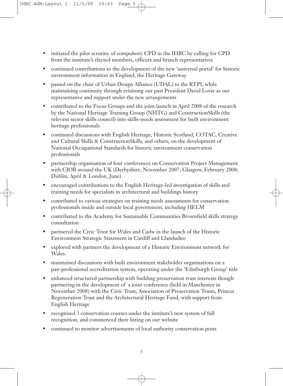- initiated the pilot scrutiny of compulsory CPD in the IHBC by calling for CPD from the institute's elected members, officers and branch representatives
- continued contributions to the development of the new 'universal portal' for historic environment information in England, the Heritage Gateway
- passed on the chair of Urban Design Alliance (UDAL) to the RTPI, while maintaining continuity through retaining our past President David Lovie as our representative and support under the new arrangements
- contributed to the Focus Groups and the joint launch in April 2008 of the research by the National Heritage Training Group (NHTG) and ConstructionSkills (the relevant sector skills council) into skills-needs assessment for built environment heritage professionals
- continued discussions with English Heritage, Historic Scotland, COTAC, Creative and Cultural Skills & ConstructionSkills, and others, on the development of National Occupational Standards for historic environment conservation professionals
- partnership organisation of four conferences on Conservation Project Management with CIOB around the UK (Derbyshire, November 2007; Glasgow, February 2008; Dublin, April & London, June)
- encouraged contributions to the English Heritage-led investigation of skills and training needs for specialists in architectural and buildings history
- contributed to various strategies on training needs assessments for conservation professionals inside and outside local government, including HELM
- contributed to the Academy for Sustainable Communities Brownfield skills strategy consultation
- partnered the Civic Trust for Wales and Cadw in the launch of the Historic Environment Strategic Statement in Cardiff and Llandudno
- explored with partners the development of a Historic Environment network for Wales.
- maintained discussions with built environment stakeholder organisations on a pan-professional accreditation system, operating under the 'Edinburgh Group' title
- enhanced structured partnership with building preservation trust interests though partnering in the development of a joint conference (held in Manchester in November 2008) with the Civic Trust, Association of Preservation Trusts, Princes Regeneration Trust and the Architectural Heritage Fund, with support from English Heritage
- recognised 3 conservation courses under the institute's new system of full recognition, and commenced their listing on our website
- continued to monitor advertisements of local authority conservation posts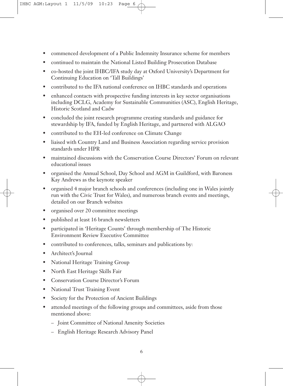- commenced development of a Public Indemnity Insurance scheme for members
- continued to maintain the National Listed Building Prosecution Database
- co-hosted the joint IHBC/IFA study day at Oxford University's Department for Continuing Education on 'Tall Buildings'
- contributed to the IFA national conference on IHBC standards and operations
- enhanced contacts with prospective funding interests in key sector organisations including DCLG, Academy for Sustainable Communities (ASC), English Heritage, Historic Scotland and Cadw
- concluded the joint research programme creating standards and guidance for stewardship by IFA, funded by English Heritage, and partnered with ALGAO
- contributed to the EH-led conference on Climate Change
- liaised with Country Land and Business Association regarding service provision standards under HPR
- maintained discussions with the Conservation Course Directors' Forum on relevant educational issues
- organised the Annual School, Day School and AGM in Guildford, with Baroness Kay Andrews as the keynote speaker
- organised 4 major branch schools and conferences (including one in Wales jointly run with the Civic Trust for Wales), and numerous branch events and meetings, detailed on our Branch websites
- organised over 20 committee meetings
- published at least 16 branch newsletters
- participated in 'Heritage Counts' through membership of The Historic Environment Review Executive Committee
- contributed to conferences, talks, seminars and publications by:
- Architect's Journal
- National Heritage Training Group
- North East Heritage Skills Fair
- Conservation Course Director's Forum
- National Trust Training Event
- Society for the Protection of Ancient Buildings
- attended meetings of the following groups and committees, aside from those mentioned above:
	- Joint Committee of National Amenity Societies
	- English Heritage Research Advisory Panel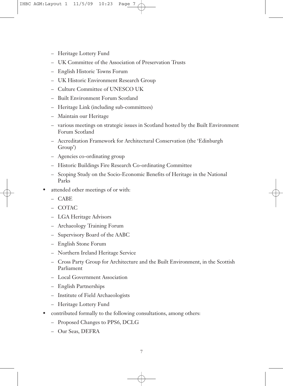- Heritage Lottery Fund
- UK Committee of the Association of Preservation Trusts
- English Historic Towns Forum
- UK Historic Environment Research Group
- Culture Committee of UNESCO UK
- Built Environment Forum Scotland
- Heritage Link (including sub-committees)
- Maintain our Heritage
- various meetings on strategic issues in Scotland hosted by the Built Environment Forum Scotland
- Accreditation Framework for Architectural Conservation (the 'Edinburgh Group')
- Agencies co-ordinating group
- Historic Buildings Fire Research Co-ordinating Committee
- Scoping Study on the Socio-Economic Benefits of Heritage in the National Parks
- attended other meetings of or with:
	- CABE
	- COTAC
	- LGA Heritage Advisors
	- Archaeology Training Forum
	- Supervisory Board of the AABC
	- English Stone Forum
	- Northern Ireland Heritage Service
	- Cross Party Group for Architecture and the Built Environment, in the Scottish Parliament
	- Local Government Association
	- English Partnerships
	- Institute of Field Archaeologists
	- Heritage Lottery Fund
- contributed formally to the following consultations, among others:
	- Proposed Changes to PPS6, DCLG
	- Our Seas, DEFRA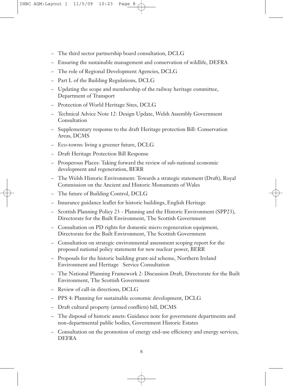- The third sector partnership board consultation, DCLG
- Ensuring the sustainable management and conservation of wildlife, DEFRA
- The role of Regional Development Agencies, DCLG
- Part L of the Building Regulations, DCLG
- Updating the scope and membership of the railway heritage committee, Department of Transport
- Protection of World Heritage Sites, DCLG
- Technical Advice Note 12: Design Update, Welsh Assembly Government Consultation
- Supplementary response to the draft Heritage protection Bill: Conservation Areas, DCMS
- Eco-towns: living a greener future, DCLG
- Draft Heritage Protection Bill Response
- Prosperous Places: Taking forward the review of sub-national economic development and regeneration, BERR
- The Welsh Historic Environment: Towards a strategic statement (Draft), Royal Commission on the Ancient and Historic Monuments of Wales
- The future of Building Control, DCLG
- Insurance guidance leaflet for historic buildings, English Heritage
- Scottish Planning Policy 23 Planning and the Historic Environment (SPP23), Directorate for the Built Environment, The Scottish Government
- Consultation on PD rights for domestic micro regeneration equipment, Directorate for the Built Environment, The Scottish Government
- Consultation on strategic environmental assessment scoping report for the proposed national policy statement for new nuclear power, BERR
- Proposals for the historic building grant-aid scheme, Northern Ireland Environment and Heritage Service Consultation
- The National Planning Framework 2: Discussion Draft, Directorate for the Built Environment, The Scottish Government
- Review of call-in directions, DCLG
- PPS 4: Planning for sustainable economic development, DCLG
- Draft cultural property (armed conflicts) bill, DCMS
- The disposal of historic assets: Guidance note for government departments and non-departmental public bodies, Government Historic Estates
- Consultation on the promotion of energy end-use efficiency and energy services, DEFRA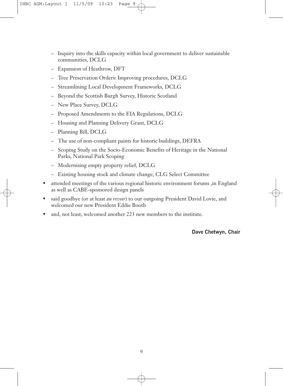- Inquiry into the skills capacity within local government to deliver sustainable communities, DCLG
- Expansion of Heathrow, DFT
- Tree Preservation Orders: Improving procedures, DCLG
- Streamlining Local Development Frameworks, DCLG
- Beyond the Scottish Burgh Survey, Historic Scotland
- New Place Survey, DCLG
- Proposed Amendments to the EIA Regulations, DCLG
- Housing and Planning Delivery Grant, DCLG
- Planning Bill, DCLG
- The use of non-compliant paints for historic buildings, DEFRA
- Scoping Study on the Socio-Economic Benefits of Heritage in the National Parks, National Park Scoping
- Modernising empty property relief, DCLG
- Existing housing stock and climate change, CLG Select Committee
- attended meetings of the various regional historic environment forums ,in England as well as CABE-sponsored design panels
- said goodbye (or at least *au revoir*) to our outgoing President David Lovie, and welcomed our new President Eddie Booth
- and, not least, welcomed another 223 new members to the institute.

**Dave Chetwyn, Chair**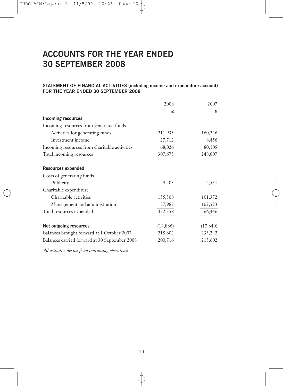## **ACCOUNTS FOR THE YEAR ENDED 30 SEPTEMBER 2008**

#### **STATEMENT OF FINANCIAL ACTIVITIES (including income and expenditure account) FOR THE YEAR ENDED 30 SEPTEMBER 2008**

|                                               | 2008     | 2007     |
|-----------------------------------------------|----------|----------|
|                                               | £        | £        |
| Incoming resources                            |          |          |
| Incoming resources from generated funds       |          |          |
| Activities for generating funds               | 211,935  | 160,246  |
| Investment income                             | 27,712   | 8,456    |
| Incoming resources from charitable activities | 68,026   | 80,105   |
| Total incoming resources                      | 307,673  | 248,807  |
| Resources expended                            |          |          |
| Costs of generating funds                     |          |          |
| Publicity                                     | 9,203    | 2,551    |
| Charitable expenditure                        |          |          |
| Charitable activities                         | 135,368  | 101,372  |
| Management and administration                 | 177,987  | 162,523  |
| Total resources expended                      | 322,558  | 266,446  |
| Net outgoing resources                        | (14,886) | (17,640) |
| Balances brought forward at 1 October 2007    | 215,602  | 233,242  |
| Balances carried forward at 30 September 2008 | 200,716  | 215,602  |

*All activities derive from continuing operations*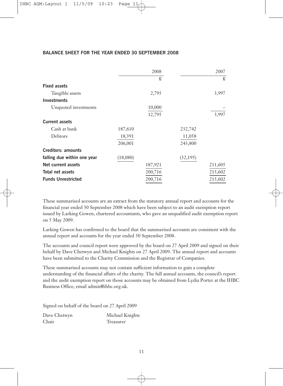### **BALANCE SHEET FOR THE YEAR ENDED 30 SEPTEMBER 2008**

|                             |          | 2008    |           | 2007    |
|-----------------------------|----------|---------|-----------|---------|
|                             |          | £       |           | £       |
| <b>Fixed assets</b>         |          |         |           |         |
| Tangible assets             |          | 2,795   |           | 3,997   |
| <b>Investments</b>          |          |         |           |         |
| Unquoted investments        |          | 10,000  |           |         |
|                             |          | 12,795  |           | 3,997   |
| <b>Current assets</b>       |          |         |           |         |
| Cash at bank                | 187,610  |         | 232,742   |         |
| Debtors                     | 18,391   |         | 11,058    |         |
|                             | 206,001  |         | 243,800   |         |
| <b>Creditors: amounts</b>   |          |         |           |         |
| falling due within one year | (18,080) |         | (32, 195) |         |
| Net current assets          |          | 187,921 |           | 211,605 |
| Total net assets            |          | 200,716 |           | 215,602 |
| <b>Funds Unrestricted</b>   |          | 200,716 |           | 215,602 |

These summarised accounts are an extract from the statutory annual report and accounts for the financial year ended 30 September 2008 which have been subject to an audit exemption report issued by Larking Gowen, chartered accountants, who gave an unqualified audit exemption report on 5 May 2009.

Larking Gowen has confirmed to the board that the summarised accounts are consistent with the annual report and accounts for the year ended 30 September 2008.

The accounts and council report were approved by the board on 27 April 2009 and signed on their behalf by Dave Chetwyn and Michael Knights on 27 April 2009. The annual report and accounts have been submitted to the Charity Commission and the Registrar of Companies.

These summarised accounts may not contain sufficient information to gain a complete understanding of the financial affairs of the charity. The full annual accounts, the council's report and the audit exemption report on those accounts may be obtained from Lydia Porter at the IHBC Business Office, email admin@ihbc.org.uk.

Signed on behalf of the board on 27 April 2009

Dave Chetwyn Michael Knights Chair Treasurer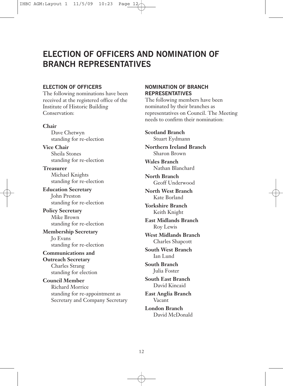## **ELECTION OF OFFICERS AND NOMINATION OF BRANCH REPRESENTATIVES**

## **ELECTION OF OFFICERS**

The following nominations have been received at the registered office of the Institute of Historic Building Conservation:

**Chair** Dave Chetwyn standing for re-election **Vice Chair** Sheila Stones standing for re-election

**Treasurer** Michael Knights standing for re-election

**Education Secretary** John Preston standing for re-election

**Policy Secretary** Mike Brown standing for re-election

**Membership Secretary** Jo Evans standing for re-election

**Communications and Outreach Secretary** Charles Strang standing for election

**Council Member** Richard Morrice standing for re-appointment as Secretary and Company Secretary

## **NOMINATION OF BRANCH REPRESENTATIVES**

The following members have been nominated by their branches as representatives on Council. The Meeting needs to confirm their nomination:

**Scotland Branch** Stuart Eydmann

**Northern Ireland Branch** Sharon Brown

**Wales Branch** Nathan Blanchard

**North Branch** Geoff Underwood

**North West Branch** Kate Borland

**Yorkshire Branch** Keith Knight

**East Midlands Branch** Roy Lewis

**West Midlands Branch** Charles Shapcott

**South West Branch** Ian Lund

**South Branch** Julia Foster

**South East Branch** David Kincaid

**East Anglia Branch** Vacant

**London Branch** David McDonald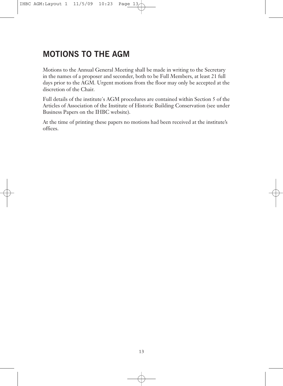## **MOTIONS TO THE AGM**

Motions to the Annual General Meeting shall be made in writing to the Secretary in the names of a proposer and seconder, both to be Full Members, at least 21 full days prior to the AGM. Urgent motions from the floor may only be accepted at the discretion of the Chair.

Full details of the institute's AGM procedures are contained within Section 5 of the Articles of Association of the Institute of Historic Building Conservation (see under Business Papers on the IHBC website).

At the time of printing these papers no motions had been received at the institute's offices.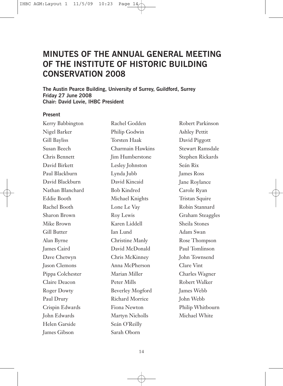## **MINUTES OF THE ANNUAL GENERAL MEETING OF THE INSTITUTE OF HISTORIC BUILDING CONSERVATION 2008**

**The Austin Pearce Building, University of Surrey, Guildford, Surrey Friday 27 June 2008 Chair: David Lovie, IHBC President**

## **Present**

| Kerry Babbington    | Rachel Godden           | Robert             |
|---------------------|-------------------------|--------------------|
| Nigel Barker        | Philip Godwin           | Ashley             |
| <b>Gill Bayliss</b> | Torsten Haak            | David              |
| Susan Beech         | Charmain Hawkins        | Stewar             |
| Chris Bennett       | Jim Humberstone         | Stephe             |
| David Birkett       | Lesley Johnston         | Seán R             |
| Paul Blackburn      | Lynda Jubb              | James              |
| David Blackburn     | David Kincaid           | Jane R             |
| Nathan Blanchard    | <b>Bob Kindred</b>      | Carole             |
| Eddie Booth         | Michael Knights         | Tristar            |
| Rachel Booth        | Lone Le Vay             | Robin              |
| Sharon Brown        | Roy Lewis               | Graha              |
| Mike Brown          | Karen Liddell           | Sheila             |
| <b>Gill Butter</b>  | Ian Lund                | Adam               |
| Alan Byrne          | Christine Manly         | Rose 7             |
| James Caird         | David McDonald          | Paul T             |
| Dave Chetwyn        | Chris McKinney          | John T             |
| Jason Clemons       | Anna McPherson          | Clare <sup></sup>  |
| Pippa Colchester    | Marian Miller           | Charle             |
| Claire Deacon       | Peter Mills             | Robert             |
| Roger Dowty         | <b>Beverley Mogford</b> | James <sup>1</sup> |
| Paul Drury          | <b>Richard Morrice</b>  | John V             |
| Crispin Edwards     | <b>Fiona Newton</b>     | Philip             |
| John Edwards        | Martyn Nicholls         | Micha              |
| Helen Garside       | Seán O'Reilly           |                    |
| James Gibson        | Sarah Oborn             |                    |

Piggott t Ramsdale en Rickards  $\ddot{\mathbf{x}}$ Ross oylance Ryan 1 Squire Stannard m Steaggles Stones Swan Thompson  $\delta$ mlinson lownsend Vint es Wagner t Walker Webb Vebb Whitbourn el White

Parkinson Pettit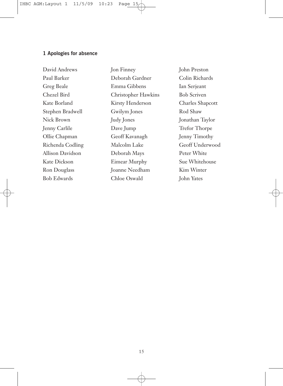## **1 Apologies for absence**

David Andrews Paul Barker Greg Beale Chezel Bird Kate Borland Stephen Bradwell Nick Brown Jenny Carlile Ollie Chapman Richenda Codling Allison Davidson Kate Dickson Ron Douglass Bob Edwards

Jon Finney Deborah Gardner Emma Gibbens Christopher Hawkins Kirsty Henderson Gwilym Jones Judy Jones Dave Jump Geoff Kavanagh Malcolm Lake Deborah Mays Eimear Murphy Joanne Needham Chloe Oswald

John Preston Colin Richards Ian Serjeant Bob Scriven Charles Shapcott Rod Shaw Jonathan Taylor Trefor Thorpe Jenny Timothy Geoff Underwood Peter White Sue Whitehouse Kim Winter John Yates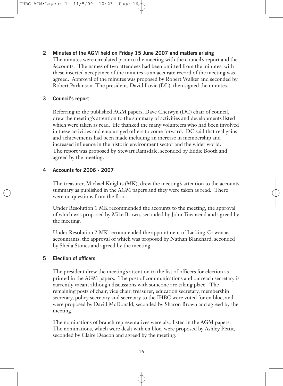#### **2 Minutes of the AGM held on Friday 15 June 2007 and matters arising**

The minutes were circulated prior to the meeting with the council's report and the Accounts. The names of two attendees had been omitted from the minutes, with these inserted acceptance of the minutes as an accurate record of the meeting was agreed. Approval of the minutes was proposed by Robert Walker and seconded by Robert Parkinson. The president, David Lovie (DL), then signed the minutes.

## **3 Council's report**

Referring to the published AGM papers, Dave Chetwyn (DC) chair of council, drew the meeting's attention to the summary of activities and developments listed which were taken as read. He thanked the many volunteers who had been involved in these activities and encouraged others to come forward. DC said that real gains and achievements had been made including an increase in membership and increased influence in the historic environment sector and the wider world. The report was proposed by Stewart Ramsdale, seconded by Eddie Booth and agreed by the meeting.

### **4 Accounts for 2006 - 2007**

The treasurer, Michael Knights (MK), drew the meeting's attention to the accounts summary as published in the AGM papers and they were taken as read. There were no questions from the floor.

Under Resolution 1 MK recommended the accounts to the meeting, the approval of which was proposed by Mike Brown, seconded by John Townsend and agreed by the meeting.

Under Resolution 2 MK recommended the appointment of Larking-Gowen as accountants, the approval of which was proposed by Nathan Blanchard, seconded by Sheila Stones and agreed by the meeting.

#### **5 Election of officers**

The president drew the meeting's attention to the list of officers for election as printed in the AGM papers. The post of communications and outreach secretary is currently vacant although discussions with someone are taking place. The remaining posts of chair, vice chair, treasurer, education secretary, membership secretary, policy secretary and secretary to the IHBC were voted for en bloc, and were proposed by David McDonald, seconded by Sharon Brown and agreed by the meeting.

The nominations of branch representatives were also listed in the AGM papers. The nominations, which were dealt with en bloc, were proposed by Ashley Pettit, seconded by Claire Deacon and agreed by the meeting.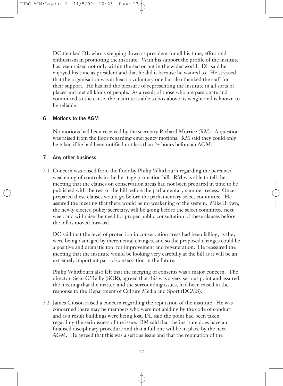DC thanked DL who is stepping down as president for all his time, effort and enthusiasm in promoting the institute. With his support the profile of the institute has been raised not only within the sector but in the wider world. DL said he enjoyed his time as president and that he did it because he wanted to. He stressed that the organisation was at heart a voluntary one but also thanked the staff for their support. He has had the pleasure of representing the institute in all sorts of places and met all kinds of people. As a result of those who are passionate and committed to the cause, the institute is able to box above its weight and is known to be reliable.

### **6 Motions to the AGM**

No motions had been received by the secretary Richard Morrice (RM). A question was raised from the floor regarding emergency motions. RM said they could only be taken if he had been notified not less than 24 hours before an AGM.

#### **7 Any other business**

7.1 Concern was raised from the floor by Philip Whitbourn regarding the perceived weakening of controls in the heritage protection bill. RM was able to tell the meeting that the clauses on conservation areas had not been prepared in time to be published with the rest of the bill before the parliamentary summer recess. Once prepared these clauses would go before the parliamentary select committee. He assured the meeting that there would be no weakening of the system. Mike Brown, the newly elected policy secretary, will be going before the select committee next week and will raise the need for proper public consultation of these clauses before the bill is moved forward.

DC said that the level of protection in conservation areas had been falling, as they were being damaged by incremental changes, and so the proposed changes could be a positive and dramatic tool for improvement and regeneration. He reassured the meeting that the institute would be looking very carefully at the bill as it will be an extremely important part of conservation in the future.

Philip Whitbourn also felt that the merging of consents was a major concern. The director, Seán O'Reilly (SOR), agreed that this was a very serious point and assured the meeting that the matter, and the surrounding issues, had been raised in the response to the Department of Culture Media and Sport (DCMS).

7.2 James Gibson raised a concern regarding the reputation of the institute. He was concerned there may be members who were not abiding by the code of conduct and as a result buildings were being lost. DL said the point had been taken regarding the seriousness of the issue. RM said that the institute does have an finalised disciplinary procedure and that a full one will be in place by the next AGM. He agreed that this was a serious issue and that the reputation of the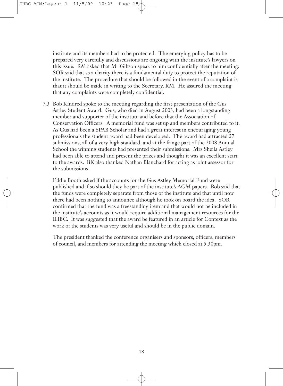institute and its members had to be protected. The emerging policy has to be prepared very carefully and discussions are ongoing with the institute's lawyers on this issue. RM asked that Mr Gibson speak to him confidentially after the meeting. SOR said that as a charity there is a fundamental duty to protect the reputation of the institute. The procedure that should be followed in the event of a complaint is that it should be made in writing to the Secretary, RM. He assured the meeting that any complaints were completely confidential.

7.3 Bob Kindred spoke to the meeting regarding the first presentation of the Gus Astley Student Award. Gus, who died in August 2003, had been a longstanding member and supporter of the institute and before that the Association of Conservation Officers. A memorial fund was set up and members contributed to it. As Gus had been a SPAB Scholar and had a great interest in encouraging young professionals the student award had been developed. The award had attracted 27 submissions, all of a very high standard, and at the fringe part of the 2008 Annual School the winning students had presented their submissions. Mrs Sheila Astley had been able to attend and present the prizes and thought it was an excellent start to the awards. BK also thanked Nathan Blanchard for acting as joint assessor for the submissions.

Eddie Booth asked if the accounts for the Gus Astley Memorial Fund were published and if so should they be part of the institute's AGM papers. Bob said that the funds were completely separate from those of the institute and that until now there had been nothing to announce although he took on board the idea. SOR confirmed that the fund was a freestanding item and that would not be included in the institute's accounts as it would require additional management resources for the IHBC. It was suggested that the award be featured in an article for Context as the work of the students was very useful and should be in the public domain.

The president thanked the conference organisers and sponsors, officers, members of council, and members for attending the meeting which closed at 5.30pm.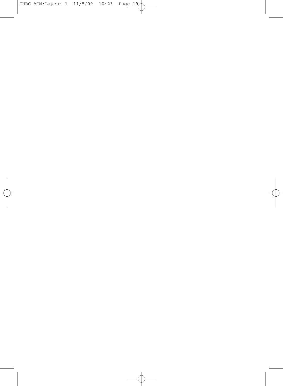IHBC AGM:Layout 1  $11/5/09$  10:23 Page 19

€